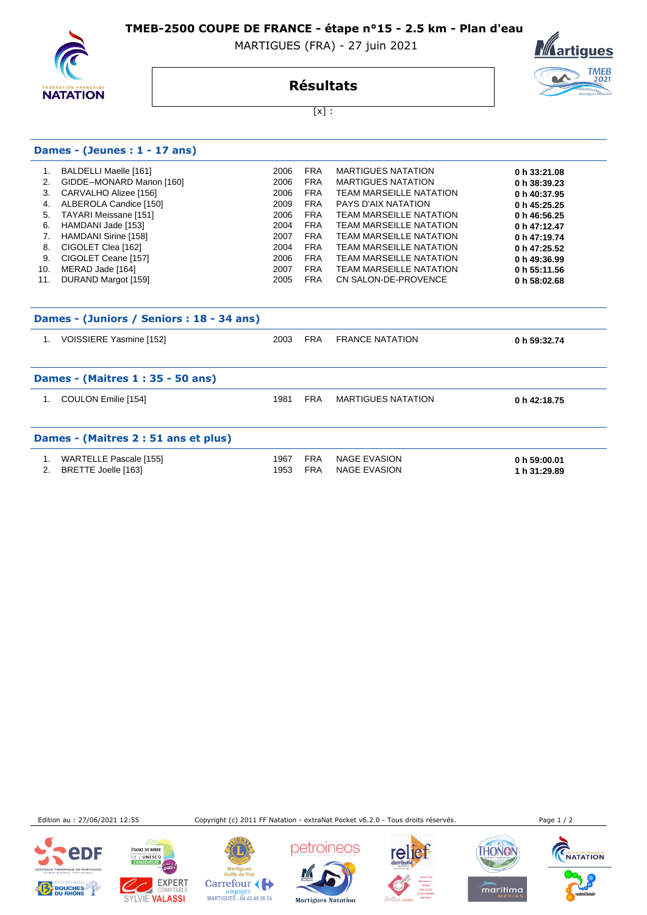**TMEB-2500 COUPE DE FRANCE - étape n°15 - 2.5 km - Plan d'eau** 

MARTIGUES (FRA) - 27 juin 2021



# **Résultats**



 $[x]$  :

| Dames - (Jeunes : $1 - 17$ ans)           |                              |      |            |                                |              |  |
|-------------------------------------------|------------------------------|------|------------|--------------------------------|--------------|--|
| 1.                                        | BALDELLI Maelle [161]        | 2006 | FRA        | <b>MARTIGUES NATATION</b>      | 0 h 33:21.08 |  |
| 2.                                        | GIDDE--MONARD Manon [160]    | 2006 | <b>FRA</b> | <b>MARTIGUES NATATION</b>      | 0 h 38:39.23 |  |
| 3.                                        | CARVALHO Alizee [156]        | 2006 | <b>FRA</b> | <b>TEAM MARSEILLE NATATION</b> | 0 h 40:37.95 |  |
| 4.                                        | ALBEROLA Candice [150]       | 2009 | <b>FRA</b> | PAYS D'AIX NATATION            | 0 h 45:25.25 |  |
| 5.                                        | <b>TAYARI Meissane [151]</b> | 2006 | <b>FRA</b> | <b>TEAM MARSEILLE NATATION</b> | 0 h 46:56.25 |  |
| 6.                                        | HAMDANI Jade [153]           | 2004 | <b>FRA</b> | <b>TEAM MARSEILLE NATATION</b> | 0 h 47:12.47 |  |
| 7.                                        | HAMDANI Sirine [158]         | 2007 | <b>FRA</b> | <b>TEAM MARSEILLE NATATION</b> | 0 h 47:19.74 |  |
| 8.                                        | CIGOLET Clea [162]           | 2004 | <b>FRA</b> | <b>TEAM MARSEILLE NATATION</b> | 0 h 47:25.52 |  |
| 9.                                        | CIGOLET Ceane [157]          | 2006 | <b>FRA</b> | <b>TEAM MARSEILLE NATATION</b> | 0 h 49:36.99 |  |
| 10.                                       | MERAD Jade [164]             | 2007 | <b>FRA</b> | <b>TEAM MARSEILLE NATATION</b> | 0 h 55:11.56 |  |
| 11.                                       | DURAND Margot [159]          | 2005 | <b>FRA</b> | CN SALON-DE-PROVENCE           | 0 h 58:02.68 |  |
| Dames - (Juniors / Seniors : 18 - 34 ans) |                              |      |            |                                |              |  |
|                                           | VOISSIERE Yasmine [152]      | 2003 | <b>FRA</b> | <b>FRANCE NATATION</b>         | 0 h 59:32.74 |  |

| Dames - (Maitres 1 : 35 - 50 ans) |                                               |              |                          |                                            |                              |
|-----------------------------------|-----------------------------------------------|--------------|--------------------------|--------------------------------------------|------------------------------|
|                                   | COULON Emilie [154]                           | 1981         | <b>FRA</b>               | MARTIGUES NATATION                         | 0 h 42:18.75                 |
|                                   | Dames - (Maitres 2 : 51 ans et plus)          |              |                          |                                            |                              |
| 2.                                | WARTELLE Pascale [155]<br>BRETTE Joelle [163] | 1967<br>1953 | <b>FRA</b><br><b>FRA</b> | <b>NAGE EVASION</b><br><b>NAGE EVASION</b> | 0 h 59:00.01<br>1 h 31:29.89 |

Edition au : 27/06/2021 12:55 Copyright (c) 2011 FF Natation - extraNat Pocket v6.2.0 - Tous droits réservés. Page 1 / 2

**CHARLES IN THE WATERFIELD** 





**ÉTANG DE BERRE** 

Mar martigues<br>Golfe de Fos Carrefour Doyages<br>MARTIGUES - 04.42.40.30.74